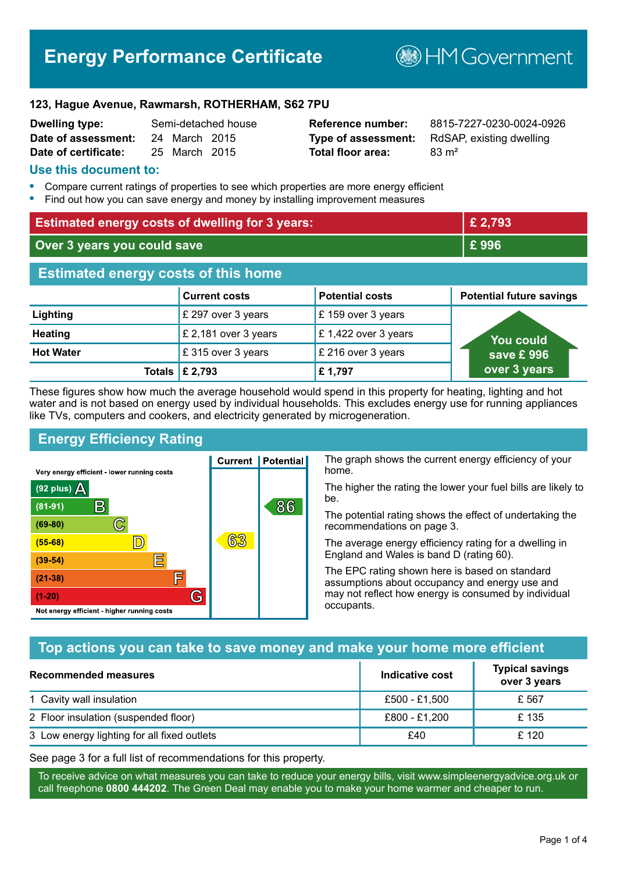# **Energy Performance Certificate**

**B**HM Government

#### **123, Hague Avenue, Rawmarsh, ROTHERHAM, S62 7PU**

| <b>Dwelling type:</b> |               | Semi-detached house |
|-----------------------|---------------|---------------------|
| Date of assessment:   | 24 March 2015 |                     |
| Date of certificate:  | 25 March 2015 |                     |

# **Total floor area:** 83 m<sup>2</sup>

**Reference number:** 8815-7227-0230-0024-0926 **Type of assessment:** RdSAP, existing dwelling

#### **Use this document to:**

- **•** Compare current ratings of properties to see which properties are more energy efficient
- **•** Find out how you can save energy and money by installing improvement measures

| <b>Estimated energy costs of dwelling for 3 years:</b> |                           |                        | £ 2,793                         |
|--------------------------------------------------------|---------------------------|------------------------|---------------------------------|
| Over 3 years you could save                            |                           | £996                   |                                 |
| <b>Estimated energy costs of this home</b>             |                           |                        |                                 |
|                                                        | <b>Current costs</b>      | <b>Potential costs</b> | <b>Potential future savings</b> |
| Lighting                                               | £ 297 over 3 years        | £159 over 3 years      |                                 |
| <b>Heating</b>                                         | £ 2,181 over 3 years      | £1,422 over 3 years    | You could                       |
| <b>Hot Water</b>                                       | £ 315 over 3 years        | £ 216 over 3 years     | save £996                       |
|                                                        | Totals $\mathsf{E}$ 2,793 | £1,797                 | over 3 years                    |

These figures show how much the average household would spend in this property for heating, lighting and hot water and is not based on energy used by individual households. This excludes energy use for running appliances like TVs, computers and cookers, and electricity generated by microgeneration.

**Current | Potential** 

63

# **Energy Efficiency Rating**

 $\mathbb{C}$ 

 $\mathbb{D}$ 

E

肩

G

Very energy efficient - lower running costs

 $\mathsf{R}% _{T}$ 

Not energy efficient - higher running costs

 $(92$  plus)

 $(81 - 91)$  $(69 - 80)$ 

 $(55-68)$ 

 $(39 - 54)$ 

 $(21-38)$ 

 $(1-20)$ 

- 78

The graph shows the current energy efficiency of your home.

The higher the rating the lower your fuel bills are likely to be.

The potential rating shows the effect of undertaking the recommendations on page 3.

The average energy efficiency rating for a dwelling in England and Wales is band D (rating 60).

The EPC rating shown here is based on standard assumptions about occupancy and energy use and may not reflect how energy is consumed by individual occupants.

# **Top actions you can take to save money and make your home more efficient**

86

| <b>Recommended measures</b>                 | Indicative cost | <b>Typical savings</b><br>over 3 years |
|---------------------------------------------|-----------------|----------------------------------------|
| 1 Cavity wall insulation                    | £500 - £1.500   | £ 567                                  |
| 2 Floor insulation (suspended floor)        | £800 - £1,200   | £ 135                                  |
| 3 Low energy lighting for all fixed outlets | £40             | £ 120                                  |

See page 3 for a full list of recommendations for this property.

To receive advice on what measures you can take to reduce your energy bills, visit www.simpleenergyadvice.org.uk or call freephone **0800 444202**. The Green Deal may enable you to make your home warmer and cheaper to run.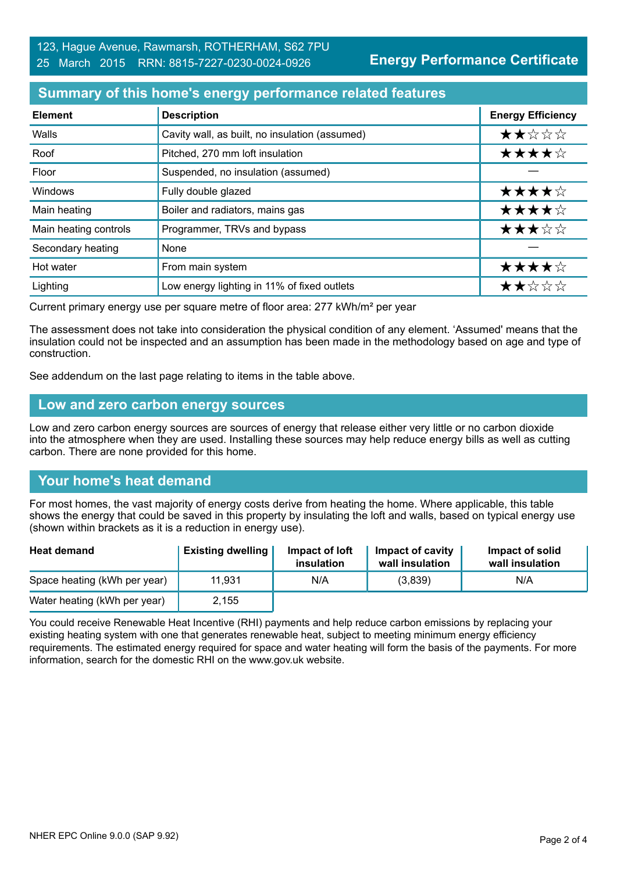**Energy Performance Certificate**

### **Summary of this home's energy performance related features**

| <b>Element</b>        | <b>Description</b>                             | <b>Energy Efficiency</b> |
|-----------------------|------------------------------------------------|--------------------------|
| Walls                 | Cavity wall, as built, no insulation (assumed) | ★★☆☆☆                    |
| Roof                  | Pitched, 270 mm loft insulation                | ★★★★☆                    |
| Floor                 | Suspended, no insulation (assumed)             |                          |
| <b>Windows</b>        | Fully double glazed                            | ★★★★☆                    |
| Main heating          | Boiler and radiators, mains gas                | ★★★★☆                    |
| Main heating controls | Programmer, TRVs and bypass                    | ★★★☆☆                    |
| Secondary heating     | None                                           |                          |
| Hot water             | From main system                               | ★★★★☆                    |
| Lighting              | Low energy lighting in 11% of fixed outlets    | ★★☆☆☆                    |

Current primary energy use per square metre of floor area: 277 kWh/m² per year

The assessment does not take into consideration the physical condition of any element. 'Assumed' means that the insulation could not be inspected and an assumption has been made in the methodology based on age and type of construction.

See addendum on the last page relating to items in the table above.

#### **Low and zero carbon energy sources**

Low and zero carbon energy sources are sources of energy that release either very little or no carbon dioxide into the atmosphere when they are used. Installing these sources may help reduce energy bills as well as cutting carbon. There are none provided for this home.

# **Your home's heat demand**

For most homes, the vast majority of energy costs derive from heating the home. Where applicable, this table shows the energy that could be saved in this property by insulating the loft and walls, based on typical energy use (shown within brackets as it is a reduction in energy use).

| <b>Heat demand</b>           | <b>Existing dwelling</b> | Impact of loft<br>insulation | Impact of cavity<br>wall insulation | Impact of solid<br>wall insulation |
|------------------------------|--------------------------|------------------------------|-------------------------------------|------------------------------------|
| Space heating (kWh per year) | 11.931                   | N/A                          | (3,839)                             | N/A                                |
| Water heating (kWh per year) | 2,155                    |                              |                                     |                                    |

You could receive Renewable Heat Incentive (RHI) payments and help reduce carbon emissions by replacing your existing heating system with one that generates renewable heat, subject to meeting minimum energy efficiency requirements. The estimated energy required for space and water heating will form the basis of the payments. For more information, search for the domestic RHI on the www.gov.uk website.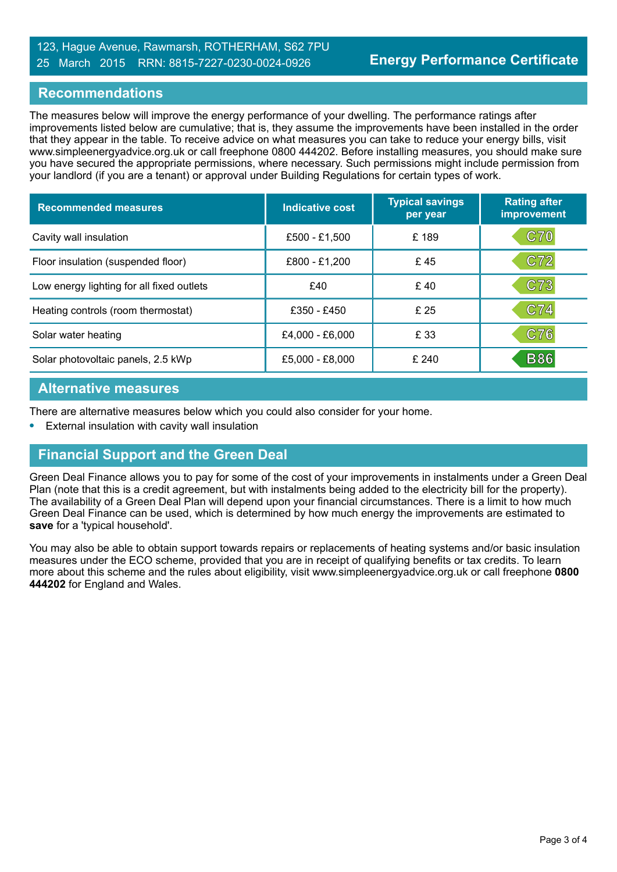#### 123, Hague Avenue, Rawmarsh, ROTHERHAM, S62 7PU 25 March 2015 RRN: 8815-7227-0230-0024-0926

#### **Recommendations**

The measures below will improve the energy performance of your dwelling. The performance ratings after improvements listed below are cumulative; that is, they assume the improvements have been installed in the order that they appear in the table. To receive advice on what measures you can take to reduce your energy bills, visit www.simpleenergyadvice.org.uk or call freephone 0800 444202. Before installing measures, you should make sure you have secured the appropriate permissions, where necessary. Such permissions might include permission from your landlord (if you are a tenant) or approval under Building Regulations for certain types of work.

| <b>Recommended measures</b>               | Indicative cost | <b>Typical savings</b><br>per year | <b>Rating after</b><br>improvement |
|-------------------------------------------|-----------------|------------------------------------|------------------------------------|
| Cavity wall insulation                    | £500 - £1,500   | £189                               | C70                                |
| Floor insulation (suspended floor)        | £800 - £1,200   | £45                                | C72                                |
| Low energy lighting for all fixed outlets | £40             | £40                                | C73                                |
| Heating controls (room thermostat)        | £350 - £450     | £ 25                               | C74                                |
| Solar water heating                       | £4,000 - £6,000 | £ 33                               | C76                                |
| Solar photovoltaic panels, 2.5 kWp        | £5,000 - £8,000 | £240                               | <b>B86</b>                         |

#### **Alternative measures**

There are alternative measures below which you could also consider for your home.

**•** External insulation with cavity wall insulation

# **Financial Support and the Green Deal**

Green Deal Finance allows you to pay for some of the cost of your improvements in instalments under a Green Deal Plan (note that this is a credit agreement, but with instalments being added to the electricity bill for the property). The availability of a Green Deal Plan will depend upon your financial circumstances. There is a limit to how much Green Deal Finance can be used, which is determined by how much energy the improvements are estimated to **save** for a 'typical household'.

You may also be able to obtain support towards repairs or replacements of heating systems and/or basic insulation measures under the ECO scheme, provided that you are in receipt of qualifying benefits or tax credits. To learn more about this scheme and the rules about eligibility, visit www.simpleenergyadvice.org.uk or call freephone **0800 444202** for England and Wales.